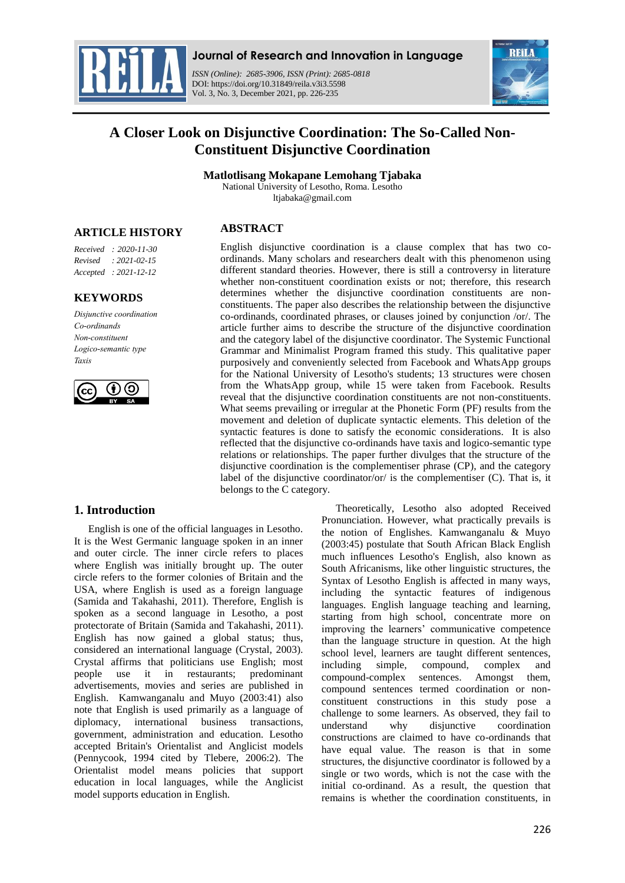

**ARTICLE HISTORY**

*Received : 2020-11-30 Revised : 2021-02-15 Accepted : 2021-12-12*

**KEYWORDS** *Disjunctive coordination*

*Co-ordinands Non-constituent Logico-semantic type*

*Taxis*

**Journal of Research and Innovation in Language**

*ISSN (Online): 2685-3906, ISSN (Print): 2685-0818*  DOI: https://doi.org/10.31849/reila.v3i3.5598 Vol. 3, No. 3, December 2021, pp. 226-235



# **A Closer Look on Disjunctive Coordination: The So-Called Non-Constituent Disjunctive Coordination**

**Matlotlisang Mokapane Lemohang Tjabaka**

National University of Lesotho, Roma. Lesotho ltjabaka@gmail.com

# **ABSTRACT**

English disjunctive coordination is a clause complex that has two coordinands. Many scholars and researchers dealt with this phenomenon using different standard theories. However, there is still a controversy in literature whether non-constituent coordination exists or not; therefore, this research determines whether the disjunctive coordination constituents are nonconstituents. The paper also describes the relationship between the disjunctive co-ordinands, coordinated phrases, or clauses joined by conjunction /or/. The article further aims to describe the structure of the disjunctive coordination and the category label of the disjunctive coordinator. The Systemic Functional Grammar and Minimalist Program framed this study. This qualitative paper purposively and conveniently selected from Facebook and WhatsApp groups for the National University of Lesotho's students; 13 structures were chosen from the WhatsApp group, while 15 were taken from Facebook. Results reveal that the disjunctive coordination constituents are not non-constituents. What seems prevailing or irregular at the Phonetic Form (PF) results from the movement and deletion of duplicate syntactic elements. This deletion of the syntactic features is done to satisfy the economic considerations. It is also reflected that the disjunctive co-ordinands have taxis and logico-semantic type relations or relationships. The paper further divulges that the structure of the disjunctive coordination is the complementiser phrase (CP), and the category label of the disjunctive coordinator/or/ is the complementiser (C). That is, it belongs to the C category.

English is one of the official languages in Lesotho. It is the West Germanic language spoken in an inner and outer circle. The inner circle refers to places where English was initially brought up. The outer circle refers to the former colonies of Britain and the USA, where English is used as a foreign language (Samida and Takahashi, 2011). Therefore, English is spoken as a second language in Lesotho, a post protectorate of Britain (Samida and Takahashi, 2011). English has now gained a global status; thus, considered an international language (Crystal, 2003). Crystal affirms that politicians use English; most people use it in restaurants; predominant advertisements, movies and series are published in English. Kamwanganalu and Muyo (2003:41) also note that English is used primarily as a language of diplomacy, international business transactions, government, administration and education. Lesotho accepted Britain's Orientalist and Anglicist models (Pennycook, 1994 cited by Tlebere, 2006:2). The Orientalist model means policies that support education in local languages, while the Anglicist model supports education in English.

# **1. Introduction**

(i) (o)

Theoretically, Lesotho also adopted Received Pronunciation. However, what practically prevails is the notion of Englishes. Kamwanganalu & Muyo (2003:45) postulate that South African Black English much influences Lesotho's English, also known as South Africanisms, like other linguistic structures, the Syntax of Lesotho English is affected in many ways, including the syntactic features of indigenous languages. English language teaching and learning, starting from high school, concentrate more on improving the learners' communicative competence than the language structure in question. At the high school level, learners are taught different sentences, including simple, compound, complex and compound-complex sentences. Amongst them, compound sentences termed coordination or nonconstituent constructions in this study pose a challenge to some learners. As observed, they fail to understand why disjunctive coordination constructions are claimed to have co-ordinands that have equal value. The reason is that in some structures, the disjunctive coordinator is followed by a single or two words, which is not the case with the initial co-ordinand. As a result, the question that remains is whether the coordination constituents, in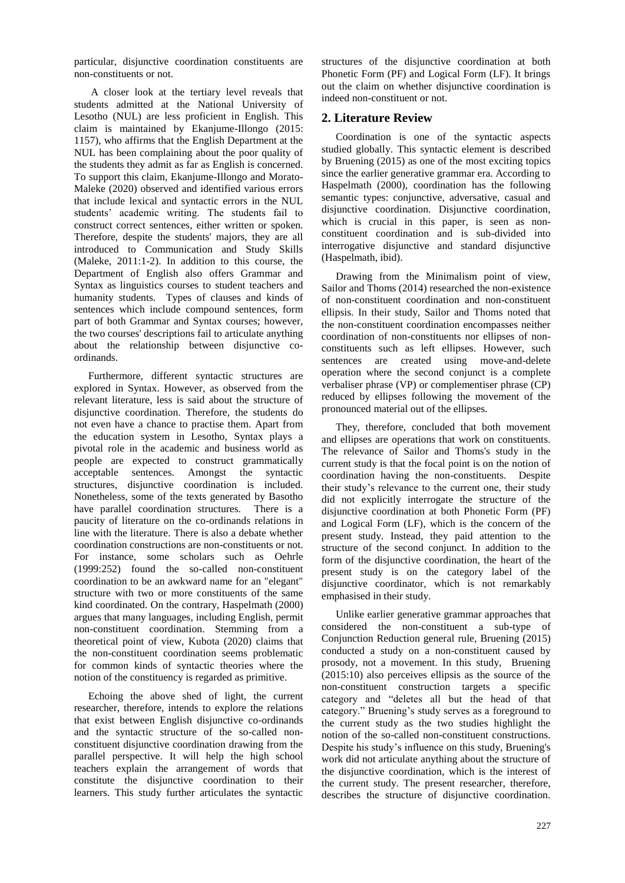particular, disjunctive coordination constituents are non-constituents or not.

A closer look at the tertiary level reveals that students admitted at the National University of Lesotho (NUL) are less proficient in English. This claim is maintained by Ekanjume-Illongo (2015: 1157), who affirms that the English Department at the NUL has been complaining about the poor quality of the students they admit as far as English is concerned. To support this claim, Ekanjume-Illongo and Morato-Maleke (2020) observed and identified various errors that include lexical and syntactic errors in the NUL students" academic writing. The students fail to construct correct sentences, either written or spoken. Therefore, despite the students' majors, they are all introduced to Communication and Study Skills (Maleke, 2011:1-2). In addition to this course, the Department of English also offers Grammar and Syntax as linguistics courses to student teachers and humanity students. Types of clauses and kinds of sentences which include compound sentences, form part of both Grammar and Syntax courses; however, the two courses' descriptions fail to articulate anything about the relationship between disjunctive coordinands.

Furthermore, different syntactic structures are explored in Syntax. However, as observed from the relevant literature, less is said about the structure of disjunctive coordination. Therefore, the students do not even have a chance to practise them. Apart from the education system in Lesotho, Syntax plays a pivotal role in the academic and business world as people are expected to construct grammatically acceptable sentences. Amongst the syntactic structures, disjunctive coordination is included. Nonetheless, some of the texts generated by Basotho have parallel coordination structures. There is a paucity of literature on the co-ordinands relations in line with the literature. There is also a debate whether coordination constructions are non-constituents or not. For instance, some scholars such as Oehrle (1999:252) found the so-called non-constituent coordination to be an awkward name for an "elegant" structure with two or more constituents of the same kind coordinated. On the contrary, Haspelmath (2000) argues that many languages, including English, permit non-constituent coordination. Stemming from a theoretical point of view, Kubota (2020) claims that the non-constituent coordination seems problematic for common kinds of syntactic theories where the notion of the constituency is regarded as primitive.

Echoing the above shed of light, the current researcher, therefore, intends to explore the relations that exist between English disjunctive co-ordinands and the syntactic structure of the so-called nonconstituent disjunctive coordination drawing from the parallel perspective. It will help the high school teachers explain the arrangement of words that constitute the disjunctive coordination to their learners. This study further articulates the syntactic

structures of the disjunctive coordination at both Phonetic Form (PF) and Logical Form (LF). It brings out the claim on whether disjunctive coordination is indeed non-constituent or not.

# **2. Literature Review**

Coordination is one of the syntactic aspects studied globally. This syntactic element is described by Bruening (2015) as one of the most exciting topics since the earlier generative grammar era. According to Haspelmath (2000), coordination has the following semantic types: conjunctive, adversative, casual and disiunctive coordination. Disjunctive coordination, which is crucial in this paper, is seen as nonconstituent coordination and is sub-divided into interrogative disjunctive and standard disjunctive (Haspelmath, ibid).

Drawing from the Minimalism point of view, Sailor and Thoms (2014) researched the non-existence of non-constituent coordination and non-constituent ellipsis. In their study, Sailor and Thoms noted that the non-constituent coordination encompasses neither coordination of non-constituents nor ellipses of nonconstituents such as left ellipses. However, such sentences are created using move-and-delete operation where the second conjunct is a complete verbaliser phrase (VP) or complementiser phrase (CP) reduced by ellipses following the movement of the pronounced material out of the ellipses.

They, therefore, concluded that both movement and ellipses are operations that work on constituents. The relevance of Sailor and Thoms's study in the current study is that the focal point is on the notion of coordination having the non-constituents. Despite their study"s relevance to the current one, their study did not explicitly interrogate the structure of the disjunctive coordination at both Phonetic Form (PF) and Logical Form (LF), which is the concern of the present study. Instead, they paid attention to the structure of the second conjunct. In addition to the form of the disjunctive coordination, the heart of the present study is on the category label of the disjunctive coordinator, which is not remarkably emphasised in their study.

Unlike earlier generative grammar approaches that considered the non-constituent a sub-type of Conjunction Reduction general rule, Bruening (2015) conducted a study on a non-constituent caused by prosody, not a movement. In this study, Bruening (2015:10) also perceives ellipsis as the source of the non-constituent construction targets a specific category and "deletes all but the head of that category." Bruening's study serves as a foreground to the current study as the two studies highlight the notion of the so-called non-constituent constructions. Despite his study"s influence on this study, Bruening's work did not articulate anything about the structure of the disjunctive coordination, which is the interest of the current study. The present researcher, therefore, describes the structure of disjunctive coordination.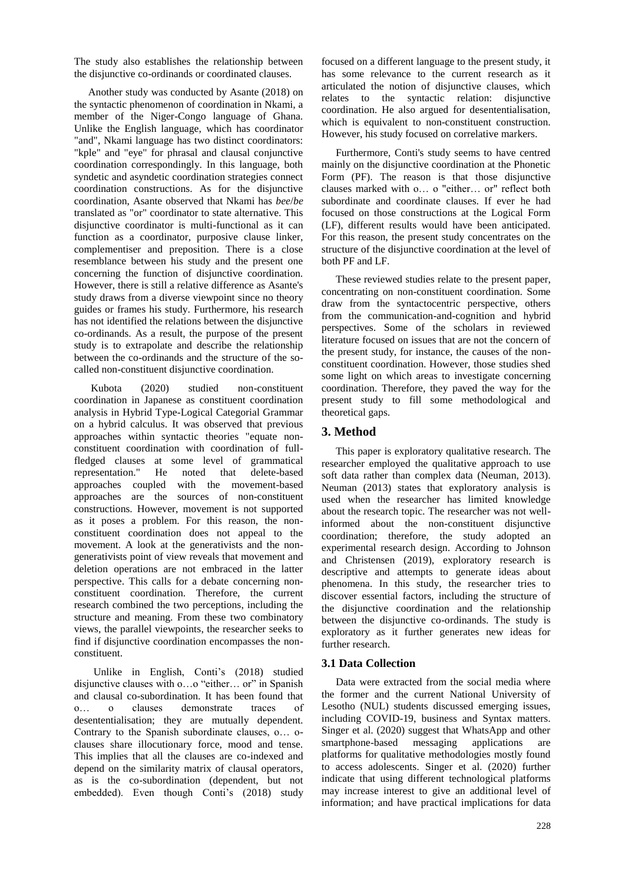The study also establishes the relationship between the disjunctive co-ordinands or coordinated clauses.

Another study was conducted by Asante (2018) on the syntactic phenomenon of coordination in Nkami, a member of the Niger-Congo language of Ghana. Unlike the English language, which has coordinator "and", Nkami language has two distinct coordinators: "kple" and "eye" for phrasal and clausal conjunctive coordination correspondingly. In this language, both syndetic and asyndetic coordination strategies connect coordination constructions. As for the disjunctive coordination, Asante observed that Nkami has *bee*/*be* translated as "or" coordinator to state alternative. This disjunctive coordinator is multi-functional as it can function as a coordinator, purposive clause linker, complementiser and preposition. There is a close resemblance between his study and the present one concerning the function of disjunctive coordination. However, there is still a relative difference as Asante's study draws from a diverse viewpoint since no theory guides or frames his study. Furthermore, his research has not identified the relations between the disjunctive co-ordinands. As a result, the purpose of the present study is to extrapolate and describe the relationship between the co-ordinands and the structure of the socalled non-constituent disjunctive coordination.

Kubota (2020) studied non-constituent coordination in Japanese as constituent coordination analysis in Hybrid Type-Logical Categorial Grammar on a hybrid calculus. It was observed that previous approaches within syntactic theories "equate nonconstituent coordination with coordination of fullfledged clauses at some level of grammatical representation." He noted that delete-based approaches coupled with the movement-based approaches are the sources of non-constituent constructions. However, movement is not supported as it poses a problem. For this reason, the nonconstituent coordination does not appeal to the movement. A look at the generativists and the nongenerativists point of view reveals that movement and deletion operations are not embraced in the latter perspective. This calls for a debate concerning nonconstituent coordination. Therefore, the current research combined the two perceptions, including the structure and meaning. From these two combinatory views, the parallel viewpoints, the researcher seeks to find if disjunctive coordination encompasses the nonconstituent.

Unlike in English, Conti's (2018) studied disjunctive clauses with o…o "either… or" in Spanish and clausal co-subordination. It has been found that o… o clauses demonstrate traces of desententialisation; they are mutually dependent. Contrary to the Spanish subordinate clauses, o… oclauses share illocutionary force, mood and tense. This implies that all the clauses are co-indexed and depend on the similarity matrix of clausal operators, as is the co-subordination (dependent, but not embedded). Even though Conti's (2018) study

focused on a different language to the present study, it has some relevance to the current research as it articulated the notion of disjunctive clauses, which relates to the syntactic relation: disjunctive coordination. He also argued for desententialisation, which is equivalent to non-constituent construction. However, his study focused on correlative markers.

Furthermore, Conti's study seems to have centred mainly on the disjunctive coordination at the Phonetic Form (PF). The reason is that those disjunctive clauses marked with o… o "either… or" reflect both subordinate and coordinate clauses. If ever he had focused on those constructions at the Logical Form (LF), different results would have been anticipated. For this reason, the present study concentrates on the structure of the disjunctive coordination at the level of both PF and LF.

These reviewed studies relate to the present paper, concentrating on non-constituent coordination. Some draw from the syntactocentric perspective, others from the communication-and-cognition and hybrid perspectives. Some of the scholars in reviewed literature focused on issues that are not the concern of the present study, for instance, the causes of the nonconstituent coordination. However, those studies shed some light on which areas to investigate concerning coordination. Therefore, they paved the way for the present study to fill some methodological and theoretical gaps.

# **3. Method**

This paper is exploratory qualitative research. The researcher employed the qualitative approach to use soft data rather than complex data (Neuman, 2013). Neuman (2013) states that exploratory analysis is used when the researcher has limited knowledge about the research topic. The researcher was not wellinformed about the non-constituent disjunctive coordination; therefore, the study adopted an experimental research design. According to Johnson and Christensen (2019), exploratory research is descriptive and attempts to generate ideas about phenomena. In this study, the researcher tries to discover essential factors, including the structure of the disjunctive coordination and the relationship between the disjunctive co-ordinands. The study is exploratory as it further generates new ideas for further research.

# **3.1 Data Collection**

Data were extracted from the social media where the former and the current National University of Lesotho (NUL) students discussed emerging issues, including COVID-19, business and Syntax matters. Singer et al. (2020) suggest that WhatsApp and other smartphone-based messaging applications are platforms for qualitative methodologies mostly found to access adolescents. Singer et al. (2020) further indicate that using different technological platforms may increase interest to give an additional level of information; and have practical implications for data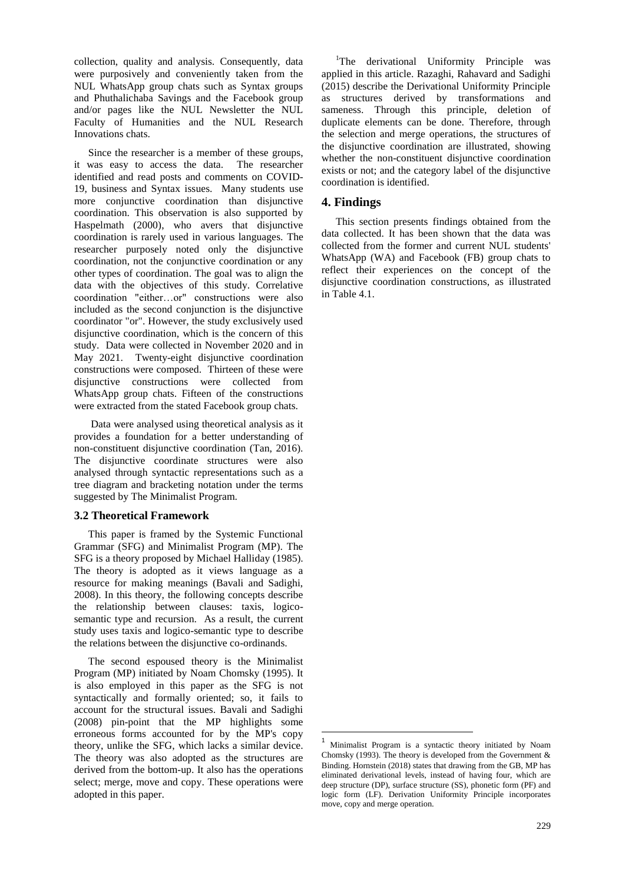collection, quality and analysis. Consequently, data were purposively and conveniently taken from the NUL WhatsApp group chats such as Syntax groups and Phuthalichaba Savings and the Facebook group and/or pages like the NUL Newsletter the NUL Faculty of Humanities and the NUL Research Innovations chats.

Since the researcher is a member of these groups, it was easy to access the data. The researcher identified and read posts and comments on COVID-19, business and Syntax issues. Many students use more conjunctive coordination than disjunctive coordination. This observation is also supported by Haspelmath (2000), who avers that disjunctive coordination is rarely used in various languages. The researcher purposely noted only the disjunctive coordination, not the conjunctive coordination or any other types of coordination. The goal was to align the data with the objectives of this study. Correlative coordination "either…or" constructions were also included as the second conjunction is the disjunctive coordinator "or". However, the study exclusively used disjunctive coordination, which is the concern of this study. Data were collected in November 2020 and in May 2021. Twenty-eight disjunctive coordination constructions were composed. Thirteen of these were disjunctive constructions were collected from WhatsApp group chats. Fifteen of the constructions were extracted from the stated Facebook group chats.

Data were analysed using theoretical analysis as it provides a foundation for a better understanding of non-constituent disjunctive coordination (Tan, 2016). The disjunctive coordinate structures were also analysed through syntactic representations such as a tree diagram and bracketing notation under the terms suggested by The Minimalist Program.

#### **3.2 Theoretical Framework**

This paper is framed by the Systemic Functional Grammar (SFG) and Minimalist Program (MP). The SFG is a theory proposed by Michael Halliday (1985). The theory is adopted as it views language as a resource for making meanings (Bavali and Sadighi, 2008). In this theory, the following concepts describe the relationship between clauses: taxis, logicosemantic type and recursion. As a result, the current study uses taxis and logico-semantic type to describe the relations between the disjunctive co-ordinands.

The second espoused theory is the Minimalist Program (MP) initiated by Noam Chomsky (1995). It is also employed in this paper as the SFG is not syntactically and formally oriented; so, it fails to account for the structural issues. Bavali and Sadighi (2008) pin-point that the MP highlights some erroneous forms accounted for by the MP's copy theory, unlike the SFG, which lacks a similar device. The theory was also adopted as the structures are derived from the bottom-up. It also has the operations select; merge, move and copy. These operations were adopted in this paper.

<sup>1</sup>The derivational Uniformity Principle was applied in this article. Razaghi, Rahavard and Sadighi (2015) describe the Derivational Uniformity Principle as structures derived by transformations and sameness. Through this principle, deletion of duplicate elements can be done. Therefore, through the selection and merge operations, the structures of the disjunctive coordination are illustrated, showing whether the non-constituent disjunctive coordination exists or not; and the category label of the disjunctive coordination is identified.

## **4. Findings**

This section presents findings obtained from the data collected. It has been shown that the data was collected from the former and current NUL students' WhatsApp (WA) and Facebook (FB) group chats to reflect their experiences on the concept of the disjunctive coordination constructions, as illustrated in Table 4.1.

**.** 

<sup>1</sup> Minimalist Program is a syntactic theory initiated by Noam Chomsky (1993). The theory is developed from the Government & Binding. Hornstein (2018) states that drawing from the GB, MP has eliminated derivational levels, instead of having four, which are deep structure (DP), surface structure (SS), phonetic form (PF) and logic form (LF). Derivation Uniformity Principle incorporates move, copy and merge operation.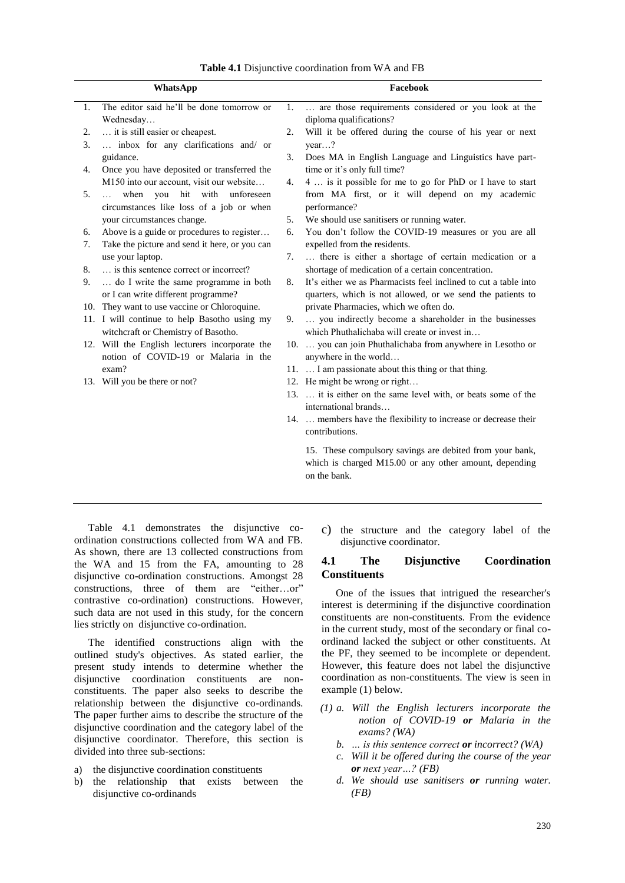| WhatsApp |                                                        |    | Facebook                                                                        |  |  |
|----------|--------------------------------------------------------|----|---------------------------------------------------------------------------------|--|--|
| 1.       | The editor said he'll be done tomorrow or<br>Wednesday | 1. | are those requirements considered or you look at the<br>diploma qualifications? |  |  |
| 2.       | it is still easier or cheapest.                        | 2. | Will it be offered during the course of his year or next                        |  |  |
| 3.       | inbox for any clarifications and/ or                   |    | year?                                                                           |  |  |
|          | guidance.                                              | 3. | Does MA in English Language and Linguistics have part-                          |  |  |
| 4.       | Once you have deposited or transferred the             |    | time or it's only full time?                                                    |  |  |
|          | M150 into our account, visit our website               | 4. | 4  is it possible for me to go for PhD or I have to start                       |  |  |
| 5.       | when you hit with unforeseen<br>$\mathbf{1}$           |    | from MA first, or it will depend on my academic                                 |  |  |
|          | circumstances like loss of a job or when               |    | performance?                                                                    |  |  |
|          | your circumstances change.                             | 5. | We should use sanitisers or running water.                                      |  |  |
| 6.       | Above is a guide or procedures to register             | 6. | You don't follow the COVID-19 measures or you are all                           |  |  |
| 7.       | Take the picture and send it here, or you can          |    | expelled from the residents.                                                    |  |  |
|          | use your laptop.                                       | 7. | there is either a shortage of certain medication or a                           |  |  |
| 8.       | is this sentence correct or incorrect?                 |    | shortage of medication of a certain concentration.                              |  |  |
| 9.       | do I write the same programme in both                  | 8. | It's either we as Pharmacists feel inclined to cut a table into                 |  |  |
|          | or I can write different programme?                    |    | quarters, which is not allowed, or we send the patients to                      |  |  |
|          | 10. They want to use vaccine or Chloroquine.           |    | private Pharmacies, which we often do.                                          |  |  |
|          | 11. I will continue to help Basotho using my           | 9. | you indirectly become a shareholder in the businesses                           |  |  |
|          | witchcraft or Chemistry of Basotho.                    |    | which Phuthalichaba will create or invest in                                    |  |  |
|          | 12. Will the English lecturers incorporate the         |    | 10.  you can join Phuthalichaba from anywhere in Lesotho or                     |  |  |
|          | notion of COVID-19 or Malaria in the                   |    | anywhere in the world                                                           |  |  |
|          | exam?                                                  |    | 11.  I am passionate about this thing or that thing.                            |  |  |
|          | 13. Will you be there or not?                          |    | 12. He might be wrong or right                                                  |  |  |
|          |                                                        |    | 13.  it is either on the same level with, or beats some of the                  |  |  |
|          |                                                        |    | international brands                                                            |  |  |
|          |                                                        |    | 14.  members have the flexibility to increase or decrease their                 |  |  |
|          |                                                        |    | contributions.                                                                  |  |  |
|          |                                                        |    | 15. These compulsory savings are debited from your bank,                        |  |  |
|          |                                                        |    | which is charged M15.00 or any other amount, depending                          |  |  |
|          |                                                        |    | on the bank.                                                                    |  |  |
|          |                                                        |    |                                                                                 |  |  |

|  |  | Table 4.1 Disjunctive coordination from WA and FB |  |  |
|--|--|---------------------------------------------------|--|--|
|--|--|---------------------------------------------------|--|--|

Table 4.1 demonstrates the disjunctive coordination constructions collected from WA and FB. As shown, there are 13 collected constructions from the WA and 15 from the FA, amounting to 28 disjunctive co-ordination constructions. Amongst 28 constructions, three of them are "either…or" contrastive co-ordination) constructions. However, such data are not used in this study, for the concern lies strictly on disjunctive co-ordination.

The identified constructions align with the outlined study's objectives. As stated earlier, the present study intends to determine whether the disjunctive coordination constituents are nonconstituents. The paper also seeks to describe the relationship between the disjunctive co-ordinands. The paper further aims to describe the structure of the disjunctive coordination and the category label of the disjunctive coordinator. Therefore, this section is divided into three sub-sections:

- a) the disjunctive coordination constituents
- b) the relationship that exists between the disjunctive co-ordinands

c) the structure and the category label of the disjunctive coordinator.

### **4.1 The Disjunctive Coordination Constituents**

One of the issues that intrigued the researcher's interest is determining if the disjunctive coordination constituents are non-constituents. From the evidence in the current study, most of the secondary or final coordinand lacked the subject or other constituents. At the PF, they seemed to be incomplete or dependent. However, this feature does not label the disjunctive coordination as non-constituents. The view is seen in example (1) below.

- *(1) a. Will the English lecturers incorporate the notion of COVID-19 or Malaria in the exams? (WA)*
	- *b. … is this sentence correct or incorrect? (WA)*
	- *c. Will it be offered during the course of the year or next year…? (FB)*
	- *d. We should use sanitisers or running water. (FB)*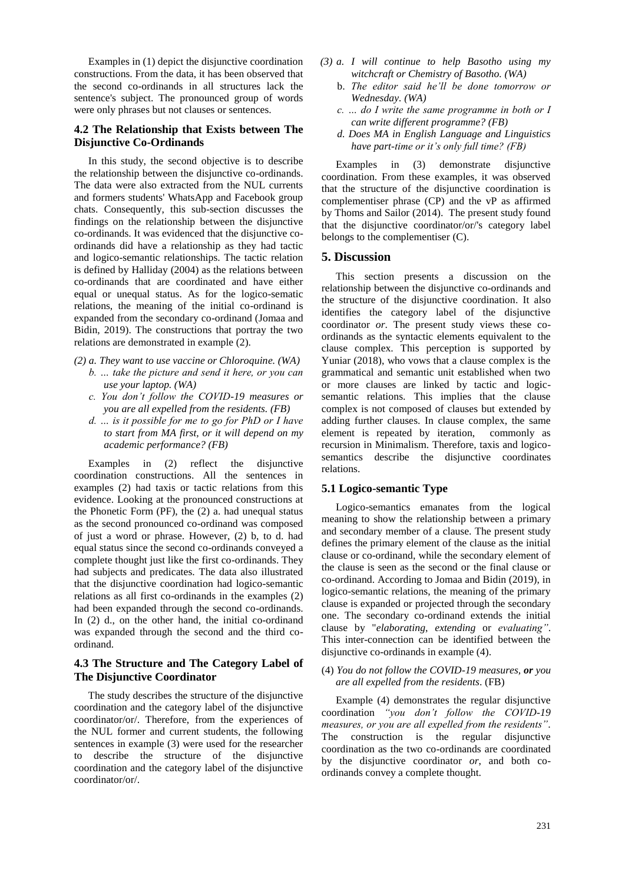Examples in (1) depict the disjunctive coordination constructions. From the data, it has been observed that the second co-ordinands in all structures lack the sentence's subject. The pronounced group of words were only phrases but not clauses or sentences.

#### **4.2 The Relationship that Exists between The Disjunctive Co-Ordinands**

In this study, the second objective is to describe the relationship between the disjunctive co-ordinands. The data were also extracted from the NUL currents and formers students' WhatsApp and Facebook group chats. Consequently, this sub-section discusses the findings on the relationship between the disjunctive co-ordinands. It was evidenced that the disjunctive coordinands did have a relationship as they had tactic and logico-semantic relationships. The tactic relation is defined by Halliday (2004) as the relations between co-ordinands that are coordinated and have either equal or unequal status. As for the logico-sematic relations, the meaning of the initial co-ordinand is expanded from the secondary co-ordinand (Jomaa and Bidin, 2019). The constructions that portray the two relations are demonstrated in example (2).

- *(2) a. They want to use vaccine or Chloroquine. (WA) b. … take the picture and send it here, or you can use your laptop. (WA)*
	- *c. You don't follow the COVID-19 measures or you are all expelled from the residents. (FB)*
	- *d. … is it possible for me to go for PhD or I have to start from MA first, or it will depend on my academic performance? (FB)*

Examples in (2) reflect the disjunctive coordination constructions. All the sentences in examples (2) had taxis or tactic relations from this evidence. Looking at the pronounced constructions at the Phonetic Form (PF), the (2) a. had unequal status as the second pronounced co-ordinand was composed of just a word or phrase. However, (2) b, to d. had equal status since the second co-ordinands conveyed a complete thought just like the first co-ordinands. They had subjects and predicates. The data also illustrated that the disjunctive coordination had logico-semantic relations as all first co-ordinands in the examples (2) had been expanded through the second co-ordinands. In (2) d., on the other hand, the initial co-ordinand was expanded through the second and the third coordinand.

#### **4.3 The Structure and The Category Label of The Disjunctive Coordinator**

The study describes the structure of the disjunctive coordination and the category label of the disjunctive coordinator/or/. Therefore, from the experiences of the NUL former and current students, the following sentences in example (3) were used for the researcher to describe the structure of the disjunctive coordination and the category label of the disjunctive coordinator/or/.

- *(3) a. I will continue to help Basotho using my witchcraft or Chemistry of Basotho. (WA)*
	- b. *The editor said he'll be done tomorrow or Wednesday. (WA)*
	- *c. … do I write the same programme in both or I can write different programme? (FB)*
	- *d. Does MA in English Language and Linguistics have part-time or it's only full time? (FB)*

Examples in (3) demonstrate disjunctive coordination. From these examples, it was observed that the structure of the disjunctive coordination is complementiser phrase (CP) and the vP as affirmed by Thoms and Sailor (2014). The present study found that the disjunctive coordinator/or/'s category label belongs to the complementiser (C).

#### **5. Discussion**

This section presents a discussion on the relationship between the disjunctive co-ordinands and the structure of the disjunctive coordination. It also identifies the category label of the disjunctive coordinator *or*. The present study views these coordinands as the syntactic elements equivalent to the clause complex. This perception is supported by Yuniar (2018), who vows that a clause complex is the grammatical and semantic unit established when two or more clauses are linked by tactic and logicsemantic relations. This implies that the clause complex is not composed of clauses but extended by adding further clauses. In clause complex, the same element is repeated by iteration, commonly as recursion in Minimalism. Therefore, taxis and logicosemantics describe the disjunctive coordinates relations.

#### **5.1 Logico-semantic Type**

Logico-semantics emanates from the logical meaning to show the relationship between a primary and secondary member of a clause. The present study defines the primary element of the clause as the initial clause or co-ordinand, while the secondary element of the clause is seen as the second or the final clause or co-ordinand. According to Jomaa and Bidin (2019), in logico-semantic relations, the meaning of the primary clause is expanded or projected through the secondary one. The secondary co-ordinand extends the initial clause by "*elaborating*, *extending* or *evaluating"*. This inter-connection can be identified between the disjunctive co-ordinands in example (4).

#### (4) *You do not follow the COVID-19 measures, or you are all expelled from the residents*. (FB)

Example (4) demonstrates the regular disjunctive coordination *"you don't follow the COVID-19 measures, or you are all expelled from the residents"*. The construction is the regular disjunctive coordination as the two co-ordinands are coordinated by the disjunctive coordinator *or*, and both coordinands convey a complete thought.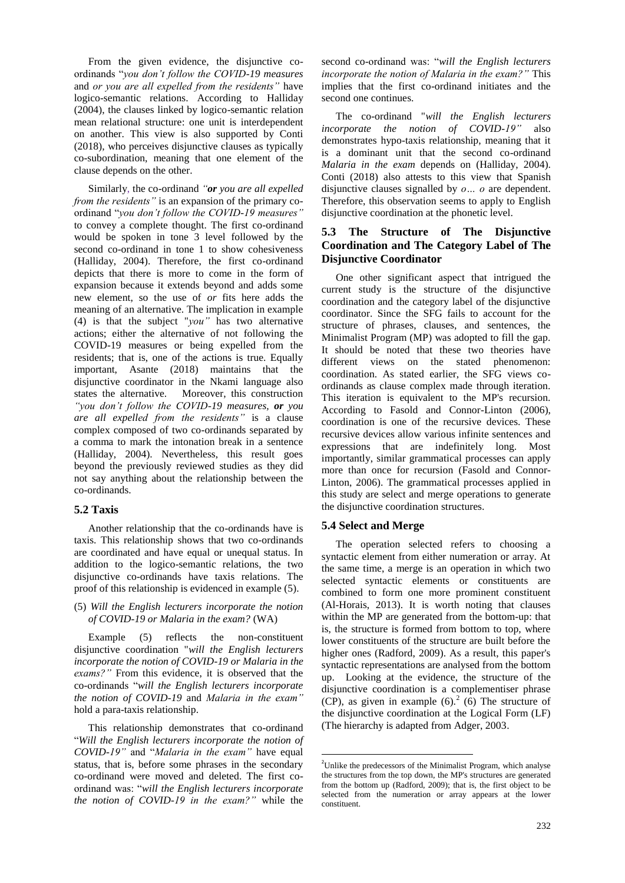From the given evidence, the disjunctive coordinands "*you don't follow the COVID-19 measures*  and *or you are all expelled from the residents"* have logico-semantic relations. According to Halliday (2004), the clauses linked by logico-semantic relation mean relational structure: one unit is interdependent on another. This view is also supported by Conti (2018), who perceives disjunctive clauses as typically co-subordination, meaning that one element of the clause depends on the other.

Similarly, the co-ordinand *"or you are all expelled from the residents"* is an expansion of the primary coordinand "*you don't follow the COVID-19 measures"* to convey a complete thought. The first co-ordinand would be spoken in tone 3 level followed by the second co-ordinand in tone 1 to show cohesiveness (Halliday, 2004). Therefore, the first co-ordinand depicts that there is more to come in the form of expansion because it extends beyond and adds some new element, so the use of *or* fits here adds the meaning of an alternative. The implication in example (4) is that the subject "*you"* has two alternative actions; either the alternative of not following the COVID-19 measures or being expelled from the residents; that is, one of the actions is true. Equally important, Asante (2018) maintains that the disjunctive coordinator in the Nkami language also states the alternative. Moreover, this construction *"you don't follow the COVID-19 measures, or you are all expelled from the residents"* is a clause complex composed of two co-ordinands separated by a comma to mark the intonation break in a sentence (Halliday, 2004). Nevertheless, this result goes beyond the previously reviewed studies as they did not say anything about the relationship between the co-ordinands.

#### **5.2 Taxis**

Another relationship that the co-ordinands have is taxis. This relationship shows that two co-ordinands are coordinated and have equal or unequal status. In addition to the logico-semantic relations, the two disjunctive co-ordinands have taxis relations. The proof of this relationship is evidenced in example (5).

#### (5) *Will the English lecturers incorporate the notion of COVID-19 or Malaria in the exam?* (WA)

Example (5) reflects the non-constituent disjunctive coordination "*will the English lecturers incorporate the notion of COVID-19 or Malaria in the exams?"* From this evidence, it is observed that the co-ordinands "*will the English lecturers incorporate the notion of COVID-19* and *Malaria in the exam"*  hold a para-taxis relationship.

This relationship demonstrates that co-ordinand "*Will the English lecturers incorporate the notion of COVID-19"* and "*Malaria in the exam"* have equal status, that is, before some phrases in the secondary co-ordinand were moved and deleted. The first coordinand was: "*will the English lecturers incorporate the notion of COVID-19 in the exam?"* while the

second co-ordinand was: "*will the English lecturers incorporate the notion of Malaria in the exam?"* This implies that the first co-ordinand initiates and the second one continues.

The co-ordinand "*will the English lecturers incorporate the notion of COVID-19"* also demonstrates hypo-taxis relationship, meaning that it is a dominant unit that the second co-ordinand *Malaria in the exam* depends on (Halliday, 2004). Conti (2018) also attests to this view that Spanish disjunctive clauses signalled by *o… o* are dependent. Therefore, this observation seems to apply to English disjunctive coordination at the phonetic level.

## **5.3 The Structure of The Disjunctive Coordination and The Category Label of The Disjunctive Coordinator**

One other significant aspect that intrigued the current study is the structure of the disjunctive coordination and the category label of the disjunctive coordinator. Since the SFG fails to account for the structure of phrases, clauses, and sentences, the Minimalist Program (MP) was adopted to fill the gap. It should be noted that these two theories have different views on the stated phenomenon: coordination. As stated earlier, the SFG views coordinands as clause complex made through iteration. This iteration is equivalent to the MP's recursion. According to Fasold and Connor-Linton (2006), coordination is one of the recursive devices. These recursive devices allow various infinite sentences and expressions that are indefinitely long. Most importantly, similar grammatical processes can apply more than once for recursion (Fasold and Connor-Linton, 2006). The grammatical processes applied in this study are select and merge operations to generate the disjunctive coordination structures.

#### **5.4 Select and Merge**

**.** 

The operation selected refers to choosing a syntactic element from either numeration or array. At the same time, a merge is an operation in which two selected syntactic elements or constituents are combined to form one more prominent constituent (Al-Horais, 2013). It is worth noting that clauses within the MP are generated from the bottom-up: that is, the structure is formed from bottom to top, where lower constituents of the structure are built before the higher ones (Radford, 2009). As a result, this paper's syntactic representations are analysed from the bottom up. Looking at the evidence, the structure of the disjunctive coordination is a complementiser phrase  $(CP)$ , as given in example  $(6)$ .  $(6)$  The structure of the disjunctive coordination at the Logical Form (LF) (The hierarchy is adapted from Adger, 2003.

<sup>&</sup>lt;sup>2</sup>Unlike the predecessors of the Minimalist Program, which analyse the structures from the top down, the MP's structures are generated from the bottom up (Radford, 2009); that is, the first object to be selected from the numeration or array appears at the lower constituent.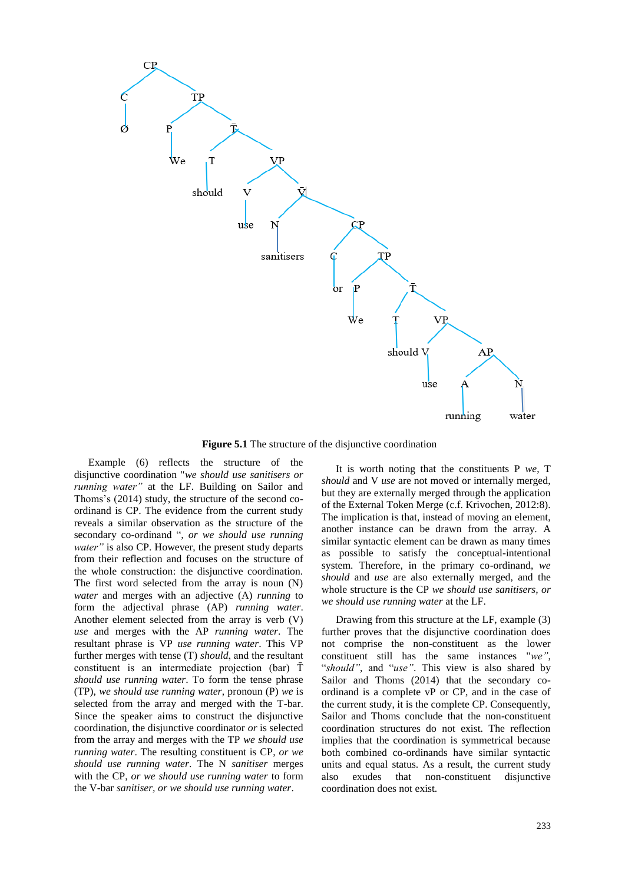

**Figure 5.1** The structure of the disjunctive coordination

Example (6) reflects the structure of the disjunctive coordination "*we should use sanitisers or running water"* at the LF. Building on Sailor and Thoms"s (2014) study, the structure of the second coordinand is CP. The evidence from the current study reveals a similar observation as the structure of the secondary co-ordinand "*, or we should use running water"* is also CP. However, the present study departs from their reflection and focuses on the structure of the whole construction: the disjunctive coordination. The first word selected from the array is noun (N) *water* and merges with an adjective (A) *running* to form the adjectival phrase (AP) *running water*. Another element selected from the array is verb (V) *use* and merges with the AP *running water*. The resultant phrase is VP *use running water*. This VP further merges with tense (T) *should*, and the resultant constituent is an intermediate projection (bar) T *should use running water*. To form the tense phrase (TP), *we should use running water*, pronoun (P) *we* is selected from the array and merged with the T-bar. Since the speaker aims to construct the disjunctive coordination, the disjunctive coordinator *or* is selected from the array and merges with the TP *we should use running water*. The resulting constituent is CP, *or we should use running water*. The N *sanitiser* merges with the CP, *or we should use running water* to form the V-bar *sanitiser, or we should use running water*.

It is worth noting that the constituents P *we*, T *should* and V *use* are not moved or internally merged, but they are externally merged through the application of the External Token Merge (c.f. Krivochen, 2012:8). The implication is that, instead of moving an element, another instance can be drawn from the array. A similar syntactic element can be drawn as many times as possible to satisfy the conceptual-intentional system. Therefore, in the primary co-ordinand, *we should* and *use* are also externally merged, and the whole structure is the CP *we should use sanitisers, or we should use running water* at the LF.

Drawing from this structure at the LF, example (3) further proves that the disjunctive coordination does not comprise the non-constituent as the lower constituent still has the same instances "*we"*, "*should",* and "*use"*. This view is also shared by Sailor and Thoms (2014) that the secondary coordinand is a complete vP or CP, and in the case of the current study, it is the complete CP. Consequently, Sailor and Thoms conclude that the non-constituent coordination structures do not exist. The reflection implies that the coordination is symmetrical because both combined co-ordinands have similar syntactic units and equal status. As a result, the current study also exudes that non-constituent disjunctive coordination does not exist.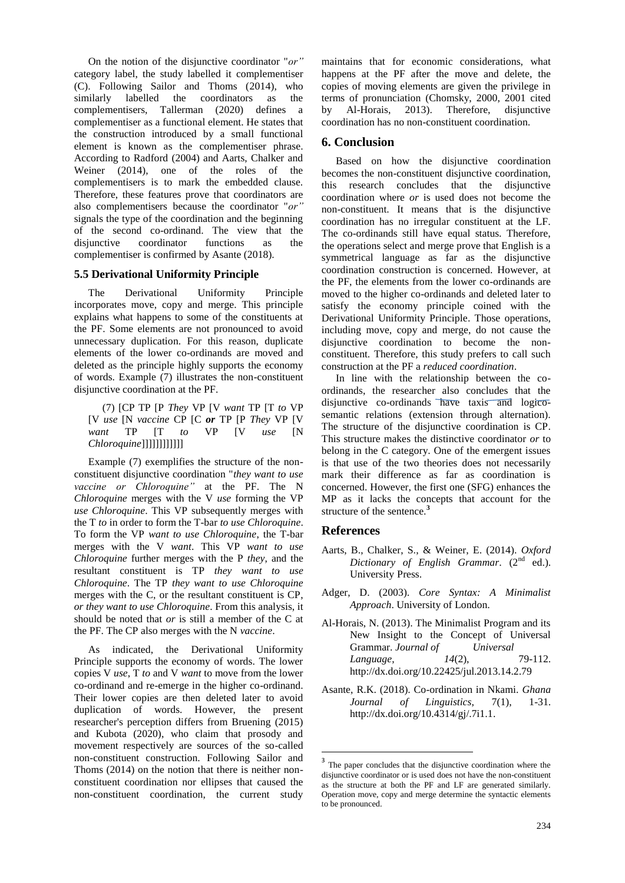On the notion of the disjunctive coordinator "*or"* category label, the study labelled it complementiser (C). Following Sailor and Thoms (2014), who similarly labelled the coordinators as the complementisers, Tallerman (2020) defines a complementiser as a functional element. He states that the construction introduced by a small functional element is known as the complementiser phrase. According to Radford (2004) and Aarts, Chalker and Weiner (2014), one of the roles of the complementisers is to mark the embedded clause. Therefore, these features prove that coordinators are also complementisers because the coordinator "*or"* signals the type of the coordination and the beginning of the second co-ordinand. The view that the disjunctive coordinator functions as the complementiser is confirmed by Asante (2018).

#### **5.5 Derivational Uniformity Principle**

The Derivational Uniformity Principle incorporates move, copy and merge. This principle explains what happens to some of the constituents at the PF. Some elements are not pronounced to avoid unnecessary duplication. For this reason, duplicate elements of the lower co-ordinands are moved and deleted as the principle highly supports the economy of words. Example (7) illustrates the non-constituent disjunctive coordination at the PF.

(7) [CP TP [P *They* VP [V *want* TP [T *to* VP [V *use* [N *vaccine* CP [C *or* TP [P *They* VP [V *want* TP [T *to* VP [V *use* [N *Chloroquine*]]]]]]]]]]]]

Example (7) exemplifies the structure of the nonconstituent disjunctive coordination "*they want to use vaccine or Chloroquine"* at the PF. The N *Chloroquine* merges with the V *use* forming the VP *use Chloroquine*. This VP subsequently merges with the T *to* in order to form the T-bar *to use Chloroquine*. To form the VP *want to use Chloroquine*, the T-bar merges with the V *want*. This VP *want to use Chloroquine* further merges with the P *they*, and the resultant constituent is TP *they want to use Chloroquine*. The TP *they want to use Chloroquine* merges with the C, or the resultant constituent is CP, *or they want to use Chloroquine*. From this analysis, it should be noted that *or* is still a member of the C at the PF. The CP also merges with the N *vaccine*.

As indicated, the Derivational Uniformity Principle supports the economy of words. The lower copies V *use*, T *to* and V *want* to move from the lower co-ordinand and re-emerge in the higher co-ordinand. Their lower copies are then deleted later to avoid duplication of words. However, the present researcher's perception differs from Bruening (2015) and Kubota (2020), who claim that prosody and movement respectively are sources of the so-called non-constituent construction. Following Sailor and Thoms (2014) on the notion that there is neither nonconstituent coordination nor ellipses that caused the non-constituent coordination, the current study

maintains that for economic considerations, what happens at the PF after the move and delete, the copies of moving elements are given the privilege in terms of pronunciation (Chomsky, 2000, 2001 cited by Al-Horais, 2013). Therefore, disjunctive coordination has no non-constituent coordination.

### **6. Conclusion**

Based on how the disjunctive coordination becomes the non-constituent disjunctive coordination, this research concludes that the disjunctive coordination where *or* is used does not become the non-constituent. It means that is the disjunctive coordination has no irregular constituent at the LF. The co-ordinands still have equal status. Therefore, the operations select and merge prove that English is a symmetrical language as far as the disjunctive coordination construction is concerned. However, at the PF, the elements from the lower co-ordinands are moved to the higher co-ordinands and deleted later to satisfy the economy principle coined with the Derivational Uniformity Principle. Those operations, including move, copy and merge, do not cause the disjunctive coordination to become the nonconstituent. Therefore, this study prefers to call such construction at the PF a *reduced coordination*.

In line with the relationship between the coordinands, the researcher also concludes that the disjunctive co-ordinands have taxis and logicosemantic relations (extension through alternation). The structure of the disjunctive coordination is CP. This structure makes the distinctive coordinator *or* to belong in the C category. One of the emergent issues is that use of the two theories does not necessarily mark their difference as far as coordination is concerned. However, the first one (SFG) enhances the MP as it lacks the concepts that account for the structure of the sentence.**<sup>3</sup>**

#### **References**

**.** 

- Aarts, B., Chalker, S., & Weiner, E. (2014). *Oxford*  Dictionary of English Grammar. (2<sup>nd</sup> ed.). University Press.
- Adger, D. (2003). *Core Syntax: A Minimalist Approach*. University of London.
- Al-Horais, N. (2013). The Minimalist Program and its New Insight to the Concept of Universal Grammar. *Journal of Universal Language*,  $14(2)$ , 79-112. http://dx.doi.org/10.22425/jul.2013.14.2.79
- Asante, R.K. (2018). Co-ordination in Nkami. *Ghana Journal of Linguistics*, 7(1), 1-31. [http://dx.doi.org/10.4314/gj/.7i1.1.](http://dx.doi.org/10.4314/gj/.7i1.1)

<sup>&</sup>lt;sup>3</sup> The paper concludes that the disjunctive coordination where the disjunctive coordinator or is used does not have the non-constituent as the structure at both the PF and LF are generated similarly. Operation move, copy and merge determine the syntactic elements to be pronounced.